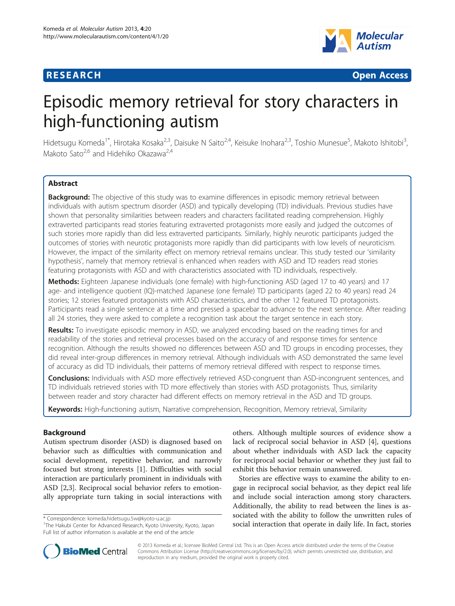

**RESEARCH CHINESE ARCH CHINESE ARCH CHINESE ARCH <b>CHINESE ARCH** 

# Episodic memory retrieval for story characters in high-functioning autism

Hidetsugu Komeda<sup>1\*</sup>, Hirotaka Kosaka<sup>2,3</sup>, Daisuke N Saito<sup>2,4</sup>, Keisuke Inohara<sup>2,3</sup>, Toshio Munesue<sup>5</sup>, Makoto Ishitobi<sup>3</sup> , Makoto Sato<sup>2,6</sup> and Hidehiko Okazawa<sup>2,4</sup>

# Abstract

Background: The objective of this study was to examine differences in episodic memory retrieval between individuals with autism spectrum disorder (ASD) and typically developing (TD) individuals. Previous studies have shown that personality similarities between readers and characters facilitated reading comprehension. Highly extraverted participants read stories featuring extraverted protagonists more easily and judged the outcomes of such stories more rapidly than did less extraverted participants. Similarly, highly neurotic participants judged the outcomes of stories with neurotic protagonists more rapidly than did participants with low levels of neuroticism. However, the impact of the similarity effect on memory retrieval remains unclear. This study tested our 'similarity hypothesis', namely that memory retrieval is enhanced when readers with ASD and TD readers read stories featuring protagonists with ASD and with characteristics associated with TD individuals, respectively.

Methods: Eighteen Japanese individuals (one female) with high-functioning ASD (aged 17 to 40 years) and 17 age- and intelligence quotient (IQ)-matched Japanese (one female) TD participants (aged 22 to 40 years) read 24 stories; 12 stories featured protagonists with ASD characteristics, and the other 12 featured TD protagonists. Participants read a single sentence at a time and pressed a spacebar to advance to the next sentence. After reading all 24 stories, they were asked to complete a recognition task about the target sentence in each story.

Results: To investigate episodic memory in ASD, we analyzed encoding based on the reading times for and readability of the stories and retrieval processes based on the accuracy of and response times for sentence recognition. Although the results showed no differences between ASD and TD groups in encoding processes, they did reveal inter-group differences in memory retrieval. Although individuals with ASD demonstrated the same level of accuracy as did TD individuals, their patterns of memory retrieval differed with respect to response times.

Conclusions: Individuals with ASD more effectively retrieved ASD-congruent than ASD-incongruent sentences, and TD individuals retrieved stories with TD more effectively than stories with ASD protagonists. Thus, similarity between reader and story character had different effects on memory retrieval in the ASD and TD groups.

Keywords: High-functioning autism, Narrative comprehension, Recognition, Memory retrieval, Similarity

# Background

Autism spectrum disorder (ASD) is diagnosed based on behavior such as difficulties with communication and social development, repetitive behavior, and narrowly focused but strong interests [\[1](#page-7-0)]. Difficulties with social interaction are particularly prominent in individuals with ASD [[2,3\]](#page-7-0). Reciprocal social behavior refers to emotionally appropriate turn taking in social interactions with



Stories are effective ways to examine the ability to engage in reciprocal social behavior, as they depict real life and include social interaction among story characters. Additionally, the ability to read between the lines is associated with the ability to follow the unwritten rules of sociated with the ability to follow the difference: [komeda.hidetsugu.5w@kyoto-u.ac.jp](mailto:komeda.hidetsugu.5w@kyoto-u.ac.jp) 1986-10 social interaction that operate in daily life. In fact, stories \* Correspondence: komeda.hidetsugu.5w@kyoto-u.ac.jp 1986-10 soci



© 2013 Komeda et al.; licensee BioMed Central Ltd. This is an Open Access article distributed under the terms of the Creative Commons Attribution License [\(http://creativecommons.org/licenses/by/2.0\)](http://creativecommons.org/licenses/by/2.0), which permits unrestricted use, distribution, and reproduction in any medium, provided the original work is properly cited.

<sup>&</sup>lt;sup>1</sup>The Hakubi Center for Advanced Research, Kyoto University, Kyoto, Japan Full list of author information is available at the end of the article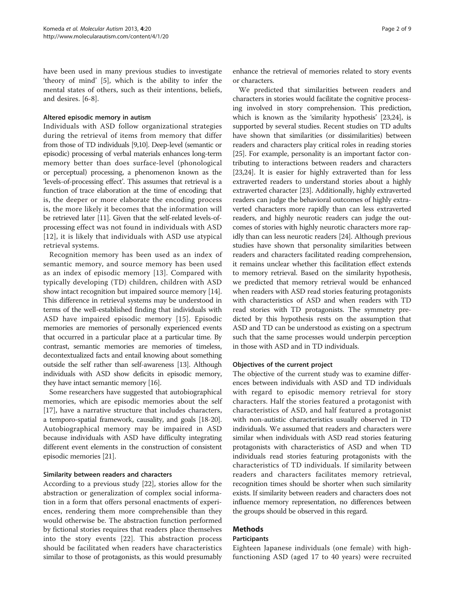have been used in many previous studies to investigate 'theory of mind' [[5\]](#page-7-0), which is the ability to infer the mental states of others, such as their intentions, beliefs, and desires. [[6-8](#page-7-0)].

### Altered episodic memory in autism

Individuals with ASD follow organizational strategies during the retrieval of items from memory that differ from those of TD individuals [\[9,10\]](#page-7-0). Deep-level (semantic or episodic) processing of verbal materials enhances long-term memory better than does surface-level (phonological or perceptual) processing, a phenomenon known as the 'levels-of-processing effect'. This assumes that retrieval is a function of trace elaboration at the time of encoding; that is, the deeper or more elaborate the encoding process is, the more likely it becomes that the information will be retrieved later [\[11\]](#page-7-0). Given that the self-related levels-ofprocessing effect was not found in individuals with ASD [[12](#page-7-0)], it is likely that individuals with ASD use atypical retrieval systems.

Recognition memory has been used as an index of semantic memory, and source memory has been used as an index of episodic memory [[13](#page-7-0)]. Compared with typically developing (TD) children, children with ASD show intact recognition but impaired source memory [[14](#page-7-0)]. This difference in retrieval systems may be understood in terms of the well-established finding that individuals with ASD have impaired episodic memory [[15\]](#page-8-0). Episodic memories are memories of personally experienced events that occurred in a particular place at a particular time. By contrast, semantic memories are memories of timeless, decontextualized facts and entail knowing about something outside the self rather than self-awareness [\[13](#page-7-0)]. Although individuals with ASD show deficits in episodic memory, they have intact semantic memory [\[16](#page-8-0)].

Some researchers have suggested that autobiographical memories, which are episodic memories about the self [[17\]](#page-8-0), have a narrative structure that includes characters, a temporo-spatial framework, causality, and goals [\[18-20](#page-8-0)]. Autobiographical memory may be impaired in ASD because individuals with ASD have difficulty integrating different event elements in the construction of consistent episodic memories [\[21\]](#page-8-0).

# Similarity between readers and characters

According to a previous study [[22\]](#page-8-0), stories allow for the abstraction or generalization of complex social information in a form that offers personal enactments of experiences, rendering them more comprehensible than they would otherwise be. The abstraction function performed by fictional stories requires that readers place themselves into the story events [\[22](#page-8-0)]. This abstraction process should be facilitated when readers have characteristics similar to those of protagonists, as this would presumably enhance the retrieval of memories related to story events or characters.

We predicted that similarities between readers and characters in stories would facilitate the cognitive processing involved in story comprehension. This prediction, which is known as the 'similarity hypothesis' [\[23,24](#page-8-0)], is supported by several studies. Recent studies on TD adults have shown that similarities (or dissimilarities) between readers and characters play critical roles in reading stories [[25](#page-8-0)]. For example, personality is an important factor contributing to interactions between readers and characters [[23](#page-8-0),[24](#page-8-0)]. It is easier for highly extraverted than for less extraverted readers to understand stories about a highly extraverted character [\[23\]](#page-8-0). Additionally, highly extraverted readers can judge the behavioral outcomes of highly extraverted characters more rapidly than can less extraverted readers, and highly neurotic readers can judge the outcomes of stories with highly neurotic characters more rapidly than can less neurotic readers [[24](#page-8-0)]. Although previous studies have shown that personality similarities between readers and characters facilitated reading comprehension, it remains unclear whether this facilitation effect extends to memory retrieval. Based on the similarity hypothesis, we predicted that memory retrieval would be enhanced when readers with ASD read stories featuring protagonists with characteristics of ASD and when readers with TD read stories with TD protagonists. The symmetry predicted by this hypothesis rests on the assumption that ASD and TD can be understood as existing on a spectrum such that the same processes would underpin perception in those with ASD and in TD individuals.

# Objectives of the current project

The objective of the current study was to examine differences between individuals with ASD and TD individuals with regard to episodic memory retrieval for story characters. Half the stories featured a protagonist with characteristics of ASD, and half featured a protagonist with non-autistic characteristics usually observed in TD individuals. We assumed that readers and characters were similar when individuals with ASD read stories featuring protagonists with characteristics of ASD and when TD individuals read stories featuring protagonists with the characteristics of TD individuals. If similarity between readers and characters facilitates memory retrieval, recognition times should be shorter when such similarity exists. If similarity between readers and characters does not influence memory representation, no differences between the groups should be observed in this regard.

# Methods

### **Participants**

Eighteen Japanese individuals (one female) with highfunctioning ASD (aged 17 to 40 years) were recruited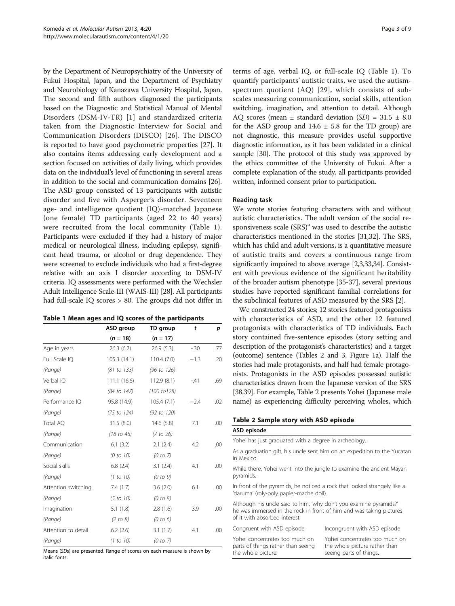<span id="page-2-0"></span>by the Department of Neuropsychiatry of the University of Fukui Hospital, Japan, and the Department of Psychiatry and Neurobiology of Kanazawa University Hospital, Japan. The second and fifth authors diagnosed the participants based on the Diagnostic and Statistical Manual of Mental Disorders (DSM-IV-TR) [[1\]](#page-7-0) and standardized criteria taken from the Diagnostic Interview for Social and Communication Disorders (DISCO) [\[26\]](#page-8-0). The DISCO is reported to have good psychometric properties [[27](#page-8-0)]. It also contains items addressing early development and a section focused on activities of daily living, which provides data on the individual's level of functioning in several areas in addition to the social and communication domains [\[26](#page-8-0)]. The ASD group consisted of 13 participants with autistic disorder and five with Asperger's disorder. Seventeen age- and intelligence quotient (IQ)-matched Japanese (one female) TD participants (aged 22 to 40 years) were recruited from the local community (Table 1). Participants were excluded if they had a history of major medical or neurological illness, including epilepsy, significant head trauma, or alcohol or drug dependence. They were screened to exclude individuals who had a first-degree relative with an axis I disorder according to DSM-IV criteria. IQ assessments were performed with the Wechsler Adult Intelligence Scale-III (WAIS-III) [\[28\]](#page-8-0). All participants had full-scale IQ scores > 80. The groups did not differ in

|  |  |  |  |  |  |  |  | Table 1 Mean ages and IQ scores of the participants |
|--|--|--|--|--|--|--|--|-----------------------------------------------------|
|--|--|--|--|--|--|--|--|-----------------------------------------------------|

| ASD group              | TD group     | t      | р   |
|------------------------|--------------|--------|-----|
| $(n = 18)$             | $(n = 17)$   |        |     |
| 26.3(6.7)              | 26.9(5.3)    | $-30$  | .77 |
| 105.3 (14.1)           | 110.4(7.0)   | $-1.3$ | .20 |
| (81 to 133)            | (96 to 126)  |        |     |
| 111.1 (16.6)           | 112.9(8.1)   | $-41$  | .69 |
| (84 to 147)            | (100 to 128) |        |     |
| 95.8 (14.9)            | 105.4(7.1)   | $-2.4$ | .02 |
| $(75 \text{ to } 124)$ | (92 to 120)  |        |     |
| 31.5 (8.0)             | 14.6 (5.8)   | 7.1    | .00 |
| $(18 \text{ to } 48)$  | (7 to 26)    |        |     |
| 6.1(3.2)               | 2.1(2.4)     | 4.2    | .00 |
| (0 to 10)              | (0 to 7)     |        |     |
| 6.8(2.4)               | 3.1(2.4)     | 4.1    | .00 |
| (1 to 10)              | (0 to 9)     |        |     |
| 7.4(1.7)               | 3.6(2.0)     | 6.1    | .00 |
| (5 to 10)              | (0 to 8)     |        |     |
| 5.1(1.8)               | 2.8(1.6)     | 3.9    | .00 |
| (2 to 8)               | (0 to 6)     |        |     |
| 6.2(2.6)               | 3.1(1.7)     | 4.1    | .00 |
| (1 to 10)              | (0 to 7)     |        |     |
|                        |              |        |     |

Means (SDs) are presented. Range of scores on each measure is shown by italic fonts.

terms of age, verbal IQ, or full-scale IQ (Table 1). To quantify participants' autistic traits, we used the autismspectrum quotient (AQ) [[29](#page-8-0)], which consists of subscales measuring communication, social skills, attention switching, imagination, and attention to detail. Although AO scores (mean  $\pm$  standard deviation (SD) = 31.5  $\pm$  8.0 for the ASD group and  $14.6 \pm 5.8$  for the TD group) are not diagnostic, this measure provides useful supportive diagnostic information, as it has been validated in a clinical sample [\[30\]](#page-8-0). The protocol of this study was approved by the ethics committee of the University of Fukui. After a complete explanation of the study, all participants provided written, informed consent prior to participation.

### Reading task

We wrote stories featuring characters with and without autistic characteristics. The adult version of the social responsiveness scale (SRS)<sup>a</sup> was used to describe the autistic characteristics mentioned in the stories [\[31,32](#page-8-0)]. The SRS, which has child and adult versions, is a quantitative measure of autistic traits and covers a continuous range from significantly impaired to above average [[2,3](#page-7-0)[,33,34](#page-8-0)]. Consistent with previous evidence of the significant heritability of the broader autism phenotype [\[35-37](#page-8-0)], several previous studies have reported significant familial correlations for the subclinical features of ASD measured by the SRS [\[2\]](#page-7-0).

We constructed 24 stories; 12 stories featured protagonists with characteristics of ASD, and the other 12 featured protagonists with characteristics of TD individuals. Each story contained five-sentence episodes (story setting and description of the protagonist's characteristics) and a target (outcome) sentence (Tables 2 and [3,](#page-3-0) Figure [1a](#page-4-0)). Half the stories had male protagonists, and half had female protagonists. Protagonists in the ASD episodes possessed autistic characteristics drawn from the Japanese version of the SRS [[38,39\]](#page-8-0). For example, Table 2 presents Yohei (Japanese male name) as experiencing difficulty perceiving wholes, which

|  | Table 2 Sample story with ASD episode |  |  |  |  |
|--|---------------------------------------|--|--|--|--|
|--|---------------------------------------|--|--|--|--|

the whole picture.

| ASD episode                                                                                                                                                               |                                                                      |  |  |  |  |  |  |
|---------------------------------------------------------------------------------------------------------------------------------------------------------------------------|----------------------------------------------------------------------|--|--|--|--|--|--|
| Yohei has just graduated with a degree in archeology.                                                                                                                     |                                                                      |  |  |  |  |  |  |
| As a graduation gift, his uncle sent him on an expedition to the Yucatan<br>in Mexico.                                                                                    |                                                                      |  |  |  |  |  |  |
| pyramids.                                                                                                                                                                 | While there, Yohei went into the jungle to examine the ancient Mayan |  |  |  |  |  |  |
| In front of the pyramids, he noticed a rock that looked strangely like a<br>'daruma' (roly-poly papier-mache doll).                                                       |                                                                      |  |  |  |  |  |  |
| Although his uncle said to him, 'why don't you examine pyramids?'<br>he was immersed in the rock in front of him and was taking pictures<br>of it with absorbed interest. |                                                                      |  |  |  |  |  |  |
| Congruent with ASD episode                                                                                                                                                | Incongruent with ASD episode                                         |  |  |  |  |  |  |
| Yohei concentrates too much on<br>parts of things rather than seeing                                                                                                      | Yohei concentrates too much on<br>the whole picture rather than      |  |  |  |  |  |  |

seeing parts of things.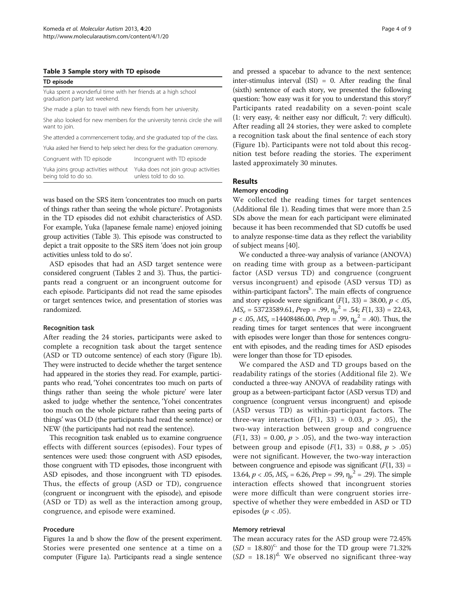#### <span id="page-3-0"></span>Table 3 Sample story with TD episode

| TD episode                                                                                      |                                                              |  |  |  |  |  |  |  |
|-------------------------------------------------------------------------------------------------|--------------------------------------------------------------|--|--|--|--|--|--|--|
| Yuka spent a wonderful time with her friends at a high school<br>graduation party last weekend. |                                                              |  |  |  |  |  |  |  |
| She made a plan to travel with new friends from her university.                                 |                                                              |  |  |  |  |  |  |  |
| She also looked for new members for the university tennis circle she will<br>want to join.      |                                                              |  |  |  |  |  |  |  |
| She attended a commencement today, and she graduated top of the class.                          |                                                              |  |  |  |  |  |  |  |
| Yuka asked her friend to help select her dress for the graduation ceremony.                     |                                                              |  |  |  |  |  |  |  |
| Congruent with TD episode                                                                       | Incongruent with TD episode                                  |  |  |  |  |  |  |  |
| Yuka joins group activities without<br>being told to do so.                                     | Yuka does not join group activities<br>unless told to do so. |  |  |  |  |  |  |  |

was based on the SRS item 'concentrates too much on parts of things rather than seeing the whole picture'. Protagonists in the TD episodes did not exhibit characteristics of ASD. For example, Yuka (Japanese female name) enjoyed joining group activities (Table 3). This episode was constructed to depict a trait opposite to the SRS item 'does not join group activities unless told to do so'.

ASD episodes that had an ASD target sentence were considered congruent (Tables [2](#page-2-0) and 3). Thus, the participants read a congruent or an incongruent outcome for each episode. Participants did not read the same episodes or target sentences twice, and presentation of stories was randomized.

### Recognition task

After reading the 24 stories, participants were asked to complete a recognition task about the target sentence (ASD or TD outcome sentence) of each story (Figure [1b](#page-4-0)). They were instructed to decide whether the target sentence had appeared in the stories they read. For example, participants who read, 'Yohei concentrates too much on parts of things rather than seeing the whole picture' were later asked to judge whether the sentence, 'Yohei concentrates too much on the whole picture rather than seeing parts of things' was OLD (the participants had read the sentence) or NEW (the participants had not read the sentence).

This recognition task enabled us to examine congruence effects with different sources (episodes). Four types of sentences were used: those congruent with ASD episodes, those congruent with TD episodes, those incongruent with ASD episodes, and those incongruent with TD episodes. Thus, the effects of group (ASD or TD), congruence (congruent or incongruent with the episode), and episode (ASD or TD) as well as the interaction among group, congruence, and episode were examined.

### Procedure

Figures [1a](#page-4-0) and b show the flow of the present experiment. Stories were presented one sentence at a time on a computer (Figure [1a](#page-4-0)). Participants read a single sentence and pressed a spacebar to advance to the next sentence; inter-stimulus interval (ISI) = 0. After reading the final (sixth) sentence of each story, we presented the following question: 'how easy was it for you to understand this story?' Participants rated readability on a seven-point scale (1: very easy, 4: neither easy nor difficult, 7: very difficult). After reading all 24 stories, they were asked to complete a recognition task about the final sentence of each story (Figure [1](#page-4-0)b). Participants were not told about this recognition test before reading the stories. The experiment lasted approximately 30 minutes.

# Results

# Memory encoding

We collected the reading times for target sentences (Additional file [1](#page-7-0)). Reading times that were more than 2.5 SDs above the mean for each participant were eliminated because it has been recommended that SD cutoffs be used to analyze response-time data as they reflect the variability of subject means [\[40\]](#page-8-0).

We conducted a three-way analysis of variance (ANOVA) on reading time with group as a between-participant factor (ASD versus TD) and congruence (congruent versus incongruent) and episode (ASD versus TD) as within-participant factors<sup>b</sup>. The main effects of congruence and story episode were significant  $(F(1, 33) = 38.00, p < .05,$  $MS_e = 53723589.61$ , Prep = .99,  $\eta_p^2 = .54$ ;  $F(1, 33) = 22.43$ ,  $p < .05$ ,  $MS_e = 14408486.00$ ,  $Prep = .99$ ,  $\eta_p^2 = .40$ ). Thus, the reading times for target sentences that were incongruent with episodes were longer than those for sentences congruent with episodes, and the reading times for ASD episodes were longer than those for TD episodes.

We compared the ASD and TD groups based on the readability ratings of the stories (Additional file [2](#page-7-0)). We conducted a three-way ANOVA of readability ratings with group as a between-participant factor (ASD versus TD) and congruence (congruent versus incongruent) and episode (ASD versus TD) as within-participant factors. The three-way interaction  $(F(1, 33) = 0.03, p > .05)$ , the two-way interaction between group and congruence  $(F(1, 33) = 0.00, p > .05)$ , and the two-way interaction between group and episode  $(F(1, 33) = 0.88, p > .05)$ were not significant. However, the two-way interaction between congruence and episode was significant  $(F(1, 33) =$ 13.64,  $p < .05$ ,  $MS_e = 6.26$ , Prep = .99,  $\eta_p^2 = .29$ ). The simple interaction effects showed that incongruent stories were more difficult than were congruent stories irrespective of whether they were embedded in ASD or TD episodes ( $p < .05$ ).

### Memory retrieval

The mean accuracy rates for the ASD group were 72.45%  $(SD = 18.80)^{c}$ , and those for the TD group were 71.32%  $(SD = 18.18)^{d}$ . We observed no significant three-way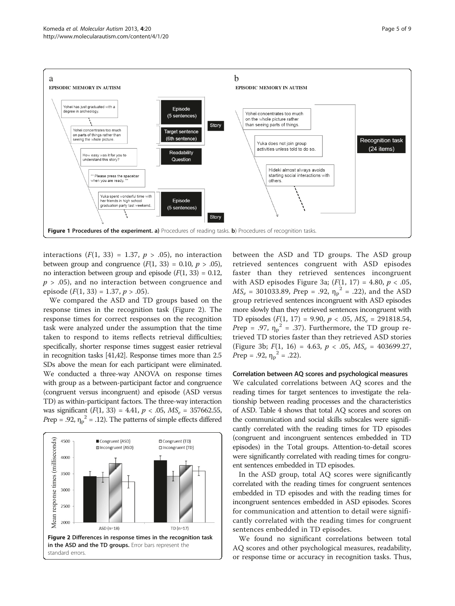<span id="page-4-0"></span>

interactions  $(F(1, 33) = 1.37, p > .05)$ , no interaction between group and congruence  $(F(1, 33) = 0.10, p > .05)$ , no interaction between group and episode  $(F(1, 33) = 0.12,$  $p > .05$ ), and no interaction between congruence and episode ( $F(1, 33) = 1.37, p > .05$ ).

We compared the ASD and TD groups based on the response times in the recognition task (Figure 2). The response times for correct responses on the recognition task were analyzed under the assumption that the time taken to respond to items reflects retrieval difficulties; specifically, shorter response times suggest easier retrieval in recognition tasks [\[41,42\]](#page-8-0). Response times more than 2.5 SDs above the mean for each participant were eliminated. We conducted a three-way ANOVA on response times with group as a between-participant factor and congruence (congruent versus incongruent) and episode (ASD versus TD) as within-participant factors. The three-way interaction was significant  $(F(1, 33) = 4.41, p < .05, MS_e = 357662.55,$ Prep = .92,  $\eta_p^2$  = .12). The patterns of simple effects differed



between the ASD and TD groups. The ASD group retrieved sentences congruent with ASD episodes faster than they retrieved sentences incongruent with ASD episodes Figure [3](#page-5-0)a;  $(F(1, 17) = 4.80, p < .05,$  $MS_e = 301033.89$ , Prep = .92,  $\eta_p^2 = .22$ ), and the ASD group retrieved sentences incongruent with ASD episodes more slowly than they retrieved sentences incongruent with TD episodes  $(F(1, 17) = 9.90, p < .05, MS_e = 291818.54,$ Prep = .97,  $\eta_p^2$  = .37). Furthermore, the TD group retrieved TD stories faster than they retrieved ASD stories (Figure [3](#page-5-0)b;  $F(1, 16) = 4.63$ ,  $p < .05$ ,  $MS_e = 403699.27$ , Prep = .92,  $\eta_p^2$  = .22).

# Correlation between AQ scores and psychological measures

We calculated correlations between AQ scores and the reading times for target sentences to investigate the relationship between reading processes and the characteristics of ASD. Table [4](#page-5-0) shows that total AQ scores and scores on the communication and social skills subscales were significantly correlated with the reading times for TD episodes (congruent and incongruent sentences embedded in TD episodes) in the Total groups. Attention-to-detail scores were significantly correlated with reading times for congruent sentences embedded in TD episodes.

In the ASD group, total AQ scores were significantly correlated with the reading times for congruent sentences embedded in TD episodes and with the reading times for incongruent sentences embedded in ASD episodes. Scores for communication and attention to detail were significantly correlated with the reading times for congruent sentences embedded in TD episodes.

We found no significant correlations between total AQ scores and other psychological measures, readability, or response time or accuracy in recognition tasks. Thus,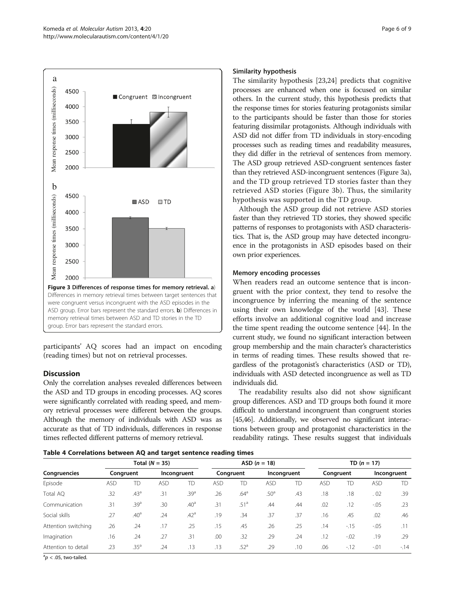<span id="page-5-0"></span>

participants' AQ scores had an impact on encoding (reading times) but not on retrieval processes.

# **Discussion**

Only the correlation analyses revealed differences between the ASD and TD groups in encoding processes. AQ scores were significantly correlated with reading speed, and memory retrieval processes were different between the groups. Although the memory of individuals with ASD was as accurate as that of TD individuals, differences in response times reflected different patterns of memory retrieval.

#### Similarity hypothesis

The similarity hypothesis [[23](#page-8-0),[24](#page-8-0)] predicts that cognitive processes are enhanced when one is focused on similar others. In the current study, this hypothesis predicts that the response times for stories featuring protagonists similar to the participants should be faster than those for stories featuring dissimilar protagonists. Although individuals with ASD did not differ from TD individuals in story-encoding processes such as reading times and readability measures, they did differ in the retrieval of sentences from memory. The ASD group retrieved ASD-congruent sentences faster than they retrieved ASD-incongruent sentences (Figure 3a), and the TD group retrieved TD stories faster than they retrieved ASD stories (Figure 3b). Thus, the similarity hypothesis was supported in the TD group.

Although the ASD group did not retrieve ASD stories faster than they retrieved TD stories, they showed specific patterns of responses to protagonists with ASD characteristics. That is, the ASD group may have detected incongruence in the protagonists in ASD episodes based on their own prior experiences.

### Memory encoding processes

When readers read an outcome sentence that is incongruent with the prior context, they tend to resolve the incongruence by inferring the meaning of the sentence using their own knowledge of the world [\[43](#page-8-0)]. These efforts involve an additional cognitive load and increase the time spent reading the outcome sentence [[44\]](#page-8-0). In the current study, we found no significant interaction between group membership and the main character's characteristics in terms of reading times. These results showed that regardless of the protagonist's characteristics (ASD or TD), individuals with ASD detected incongruence as well as TD individuals did.

The readability results also did not show significant group differences. ASD and TD groups both found it more difficult to understand incongruent than congruent stories [[45,46\]](#page-8-0). Additionally, we observed no significant interactions between group and protagonist characteristics in the readability ratings. These results suggest that individuals

Table 4 Correlations between AQ and target sentence reading times

|                         | Total $(N = 35)$ |                  |             |                  | ASD $(n = 18)$ |                  |                  |     | TD $(n = 17)$ |         |             |       |
|-------------------------|------------------|------------------|-------------|------------------|----------------|------------------|------------------|-----|---------------|---------|-------------|-------|
| Congruencies<br>Episode | Congruent        |                  | Incongruent |                  | Congruent      |                  | Incongruent      |     | Congruent     |         | Incongruent |       |
|                         | <b>ASD</b>       | TD               | <b>ASD</b>  | TD               | <b>ASD</b>     | TD               | <b>ASD</b>       | TD  | <b>ASD</b>    | TD      | <b>ASD</b>  | TD    |
| Total AQ                | .32              | .43 <sup>a</sup> | .31         | .39 <sup>a</sup> | .26            | .64 <sup>a</sup> | .50 <sup>a</sup> | .43 | .18           | .18     | . 02        | .39   |
| Communication           | .31              | .39 <sup>a</sup> | .30         | .40 <sup>a</sup> | .31            | .51 <sup>a</sup> | .44              | .44 | .02           | .12     | $-0.05$     | .23   |
| Social skills           | .27              | .40 <sup>a</sup> | .24         | .42 <sup>a</sup> | .19            | .34              | .37              | .37 | .16           | .45     | .02         | .46   |
| Attention switching     | .26              | .24              | .17         | .25              | .15            | .45              | .26              | .25 | .14           | $-15$   | $-0.05$     | .11   |
| Imagination             | .16              | .24              | .27         | .31              | .00            | .32              | .29              | .24 | .12           | $-0.02$ | .19         | .29   |
| Attention to detail     | .23              | .35 <sup>a</sup> | .24         | .13              | .13            | .52 <sup>a</sup> | .29              | .10 | .06           | $-12$   | $-01$       | $-14$ |

 ${}^{a}p$  < .05, two-tailed.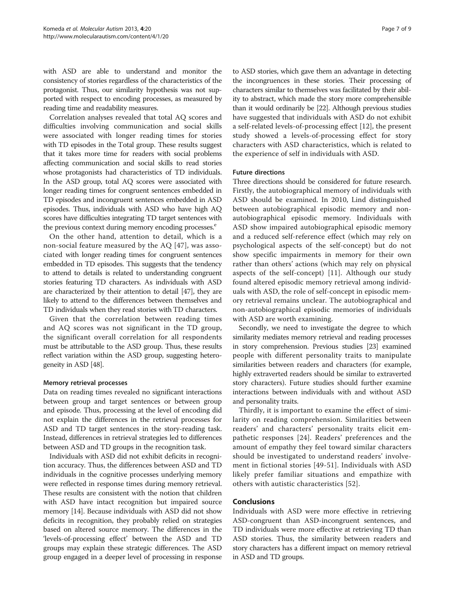with ASD are able to understand and monitor the consistency of stories regardless of the characteristics of the protagonist. Thus, our similarity hypothesis was not supported with respect to encoding processes, as measured by reading time and readability measures.

Correlation analyses revealed that total AQ scores and difficulties involving communication and social skills were associated with longer reading times for stories with TD episodes in the Total group. These results suggest that it takes more time for readers with social problems affecting communication and social skills to read stories whose protagonists had characteristics of TD individuals. In the ASD group, total AQ scores were associated with longer reading times for congruent sentences embedded in TD episodes and incongruent sentences embedded in ASD episodes. Thus, individuals with ASD who have high AQ scores have difficulties integrating TD target sentences with the previous context during memory encoding processes.<sup>e</sup>

On the other hand, attention to detail, which is a non-social feature measured by the AQ [\[47\]](#page-8-0), was associated with longer reading times for congruent sentences embedded in TD episodes. This suggests that the tendency to attend to details is related to understanding congruent stories featuring TD characters. As individuals with ASD are characterized by their attention to detail [\[47\]](#page-8-0), they are likely to attend to the differences between themselves and TD individuals when they read stories with TD characters.

Given that the correlation between reading times and AQ scores was not significant in the TD group, the significant overall correlation for all respondents must be attributable to the ASD group. Thus, these results reflect variation within the ASD group, suggesting heterogeneity in ASD [[48\]](#page-8-0).

### Memory retrieval processes

Data on reading times revealed no significant interactions between group and target sentences or between group and episode. Thus, processing at the level of encoding did not explain the differences in the retrieval processes for ASD and TD target sentences in the story-reading task. Instead, differences in retrieval strategies led to differences between ASD and TD groups in the recognition task.

Individuals with ASD did not exhibit deficits in recognition accuracy. Thus, the differences between ASD and TD individuals in the cognitive processes underlying memory were reflected in response times during memory retrieval. These results are consistent with the notion that children with ASD have intact recognition but impaired source memory [\[14\]](#page-7-0). Because individuals with ASD did not show deficits in recognition, they probably relied on strategies based on altered source memory. The differences in the 'levels-of-processing effect' between the ASD and TD groups may explain these strategic differences. The ASD group engaged in a deeper level of processing in response

to ASD stories, which gave them an advantage in detecting the incongruences in these stories. Their processing of characters similar to themselves was facilitated by their ability to abstract, which made the story more comprehensible than it would ordinarily be [\[22\]](#page-8-0). Although previous studies have suggested that individuals with ASD do not exhibit a self-related levels-of-processing effect [[12](#page-7-0)], the present study showed a levels-of-processing effect for story characters with ASD characteristics, which is related to the experience of self in individuals with ASD.

### Future directions

Three directions should be considered for future research. Firstly, the autobiographical memory of individuals with ASD should be examined. In 2010, Lind distinguished between autobiographical episodic memory and nonautobiographical episodic memory. Individuals with ASD show impaired autobiographical episodic memory and a reduced self-reference effect (which may rely on psychological aspects of the self-concept) but do not show specific impairments in memory for their own rather than others' actions (which may rely on physical aspects of the self-concept) [[11\]](#page-7-0). Although our study found altered episodic memory retrieval among individuals with ASD, the role of self-concept in episodic memory retrieval remains unclear. The autobiographical and non-autobiographical episodic memories of individuals with ASD are worth examining.

Secondly, we need to investigate the degree to which similarity mediates memory retrieval and reading processes in story comprehension. Previous studies [\[23](#page-8-0)] examined people with different personality traits to manipulate similarities between readers and characters (for example, highly extraverted readers should be similar to extraverted story characters). Future studies should further examine interactions between individuals with and without ASD and personality traits.

Thirdly, it is important to examine the effect of similarity on reading comprehension. Similarities between readers' and characters' personality traits elicit empathetic responses [\[24](#page-8-0)]. Readers' preferences and the amount of empathy they feel toward similar characters should be investigated to understand readers' involvement in fictional stories [[49](#page-8-0)-[51](#page-8-0)]. Individuals with ASD likely prefer familiar situations and empathize with others with autistic characteristics [[52\]](#page-8-0).

# **Conclusions**

Individuals with ASD were more effective in retrieving ASD-congruent than ASD-incongruent sentences, and TD individuals were more effective at retrieving TD than ASD stories. Thus, the similarity between readers and story characters has a different impact on memory retrieval in ASD and TD groups.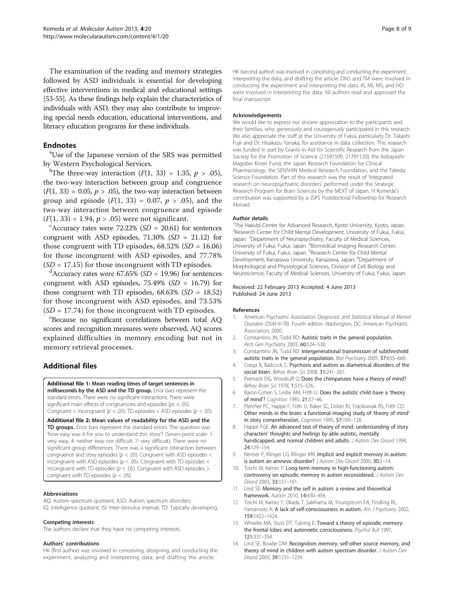<span id="page-7-0"></span>The examination of the reading and memory strategies followed by ASD individuals is essential for developing effective interventions in medical and educational settings [[53](#page-8-0)-[55\]](#page-8-0). As these findings help explain the characteristics of individuals with ASD, they may also contribute to improving special needs education, educational interventions, and literacy education programs for these individuals.

### **Endnotes**

Use of the Japanese version of the SRS was permitted by Western Psychological Services.

<sup>b</sup>The three-way interaction  $(F(1, 33) = 1.35, p > .05)$ , the two-way interaction between group and congruence  $(F(1, 33) = 0.05, p > .05)$ , the two-way interaction between group and episode  $(F(1, 33) = 0.07, p > .05)$ , and the two-way interaction between congruence and episode  $(F(1, 33) = 1.94, p > .05)$  were not significant.

 $C$ Accuracy rates were 72.22% (SD = 20.61) for sentences congruent with ASD episodes,  $71.30\%$  (SD = 21.12) for those congruent with TD episodes,  $68.52\%$  (SD = 16.06) for those incongruent with ASD episodes, and 77.78%  $(SD = 17.15)$  for those incongruent with TD episodes.

 $d$ Accuracy rates were 67.65% (SD = 19.96) for sentences congruent with ASD episodes,  $75.49\%$  (SD = 16.79) for those congruent with TD episodes,  $68.63\%$  (SD = 18.52) for those incongruent with ASD episodes, and 73.53%  $(SD = 17.74)$  for those incongruent with TD episodes.

Because no significant correlations between total AQ scores and recognition measures were observed, AQ scores explained difficulties in memory encoding but not in memory retrieval processes.

# Additional files

[Additional file 1:](http://www.biomedcentral.com/content/supplementary/2040-2392-4-20-S1.doc) Mean reading times of target sentences in milliseconds by the ASD and the TD group. Error bars represent the standard errors. There were no significant interactions. There were significant main effects of congruencies and episodes (ps < .05). Congruent < incongruent ( $p$  < .05). TD episodes < ASD episodes ( $p$  < .05).

[Additional file 2:](http://www.biomedcentral.com/content/supplementary/2040-2392-4-20-S2.doc) Mean values of readability for the ASD and the TD groups. Error bars represent the standard errors. The question was 'how easy was it for you to understand this story'? (Seven-point scale: 1: very easy, 4: neither easy nor difficult, 7: very difficult). There were no significant group differences. There was a significant interaction between congruence and story episodes ( $p < .05$ ). Congruent with ASD episodes  $<$ incongruent with ASD episodes ( $p < .05$ ). Congruent with TD episodes  $<$ incongruent with TD episodes ( $p < .05$ ). Congruent with ASD episodes > congruent with TD episodes ( $p < .05$ ).

#### Abbreviations

AQ: Autism-spectrum quotient; ASD: Autism spectrum disorders; IQ: Intelligence quotient; ISI: Inter-stimulus interval; TD: Typically developing.

#### Competing interests

The authors declare that they have no competing interests.

#### Authors' contributions

HK (first author) was involved in conceiving, designing, and conducting the experiment, analyzing and interpreting data, and drafting the article.

HK (second author) was involved in conceiving and conducting the experiment, interpreting the data, and drafting the article. DNS and TM were involved in conducting the experiment and interpreting the data. KI, MI, MS, and HO were involved in interpreting the data. All authors read and approved the final manuscript.

#### Acknowledgements

We would like to express our sincere appreciation to the participants and their families, who generously and courageously participated in this research. We also appreciate the staff at the University of Fukui, particularly Dr. Takashi Fujii and Dr. Hisakazu Yanaka, for assistance in data collection. This research was funded in part by Grants-in-Aid for Scientific Research from the Japan Society for the Promotion of Science (21591509, 21791120), the Kobayashi-Magobei Kinen Fund, the Japan Research Foundation for Clinical Pharmacology, the SENSHIN Medical Research Foundation, and the Takeda Science Foundation. Part of this research was the result of 'Integrated research on neuropsychiatric disorders' performed under the Strategic Research Program for Brain Sciences by the MEXT of Japan. H Komeda's contribution was supported by a JSPS Postdoctoral Fellowship for Research Abroad.

#### Author details

<sup>1</sup>The Hakubi Center for Advanced Research, Kyoto University, Kyoto, Japan. <sup>2</sup>Research Center for Child Mental Development, University of Fukui, Fukui Japan. <sup>3</sup> Department of Neuropsychiatry, Faculty of Medical Sciences, University of Fukui, Fukui, Japan. <sup>4</sup>Biomedical Imaging Research Center, University of Fukui, Fukui, Japan. <sup>5</sup>Research Center for Child Mental Development, Kanazawa University, Kanazawa, Japan. <sup>6</sup>Department of Morphological and Physiological Sciences, Division of Cell Biology and Neuroscience, Faculty of Medical Sciences, University of Fukui, Fukui, Japan.

#### Received: 22 February 2013 Accepted: 4 June 2013 Published: 24 June 2013

#### References

- 1. American Psychiatric Association: Diagnostic and Statistical Manual of Mental Disorders (DSM-IV-TR). Fourth edition. Washington, DC: American Psychiatric Association; 2000.
- 2. Constantino JN, Todd RD: Autistic traits in the general population. Arch Gen Psychiatry 2003, 60:524–530.
- 3. Constantino JN, Todd RD: Intergenerational transmission of subthreshold autistic traits in the general population. Biol Psychiatry 2005, 57:655-660.
- 4. Crespi B, Badcock C: Psychosis and autism as diametrical disorders of the social brain. Behav Brain Sci 2008, 31:241–261.
- 5. Premack DG, Woodruff G: Does the chimpanzee have a theory of mind? Behav Brain Sci 1978, 1:515–526.
- 6. Baron-Cohen S, Leslie AM, Frith U: Does the autistic child have a 'theory of mind'? Cognition 1985, 21:37–46.
- 7. Fletcher PC, Happé F, Frith U, Baker SC, Dolan RJ, Frackowiak RS, Frith CD: Other minds in the brain: a functional imaging study of 'theory of mind' in story comprehension. Cognition 1995, 57:109–128.
- 8. Happé FGE: An advanced test of theory of mind: understanding of story characters' thoughts and feelings by able autistic, mentally handicapped, and normal children and adults. J Autism Dev Disord 1994, 24:129–154.
- 9. Renner P, Klinger LG, Klinger MR: Implicit and explicit memory in autism: is autism an amnesic disorder? J Autism Dev Disord 2000, 30:3–14.
- 10. Toichi M, Kamio Y: Long-term memory in high-functioning autism: controversy on episodic memory in autism reconsidered. J Autism Dev Disord 2003, 33:151–161.
- 11. Lind SE: Memory and the self in autism: a review and theoretical framework. Autism 2010, 14:430–456.
- 12. Toichi M, Kamio Y, Okada T, Sakihama M, Youngstrom EA, Findling RL, Yamamoto K: A lack of self-consciousness in autism. Am J Psychiatry 2002, 159:1422–1424.
- 13. Wheeler MA, Stuss DT, Tulving E: Toward a theory of episodic memory: the frontal lobes and autonoetic consciousness. Psychol Bull 1997, 121:331–354.
- 14. Lind SE, Bowler DM: Recognition memory, self-other source memory, and theory of mind in children with autism spectrum disorder. J Autism Dev Disord 2009, 39:1231–1239.